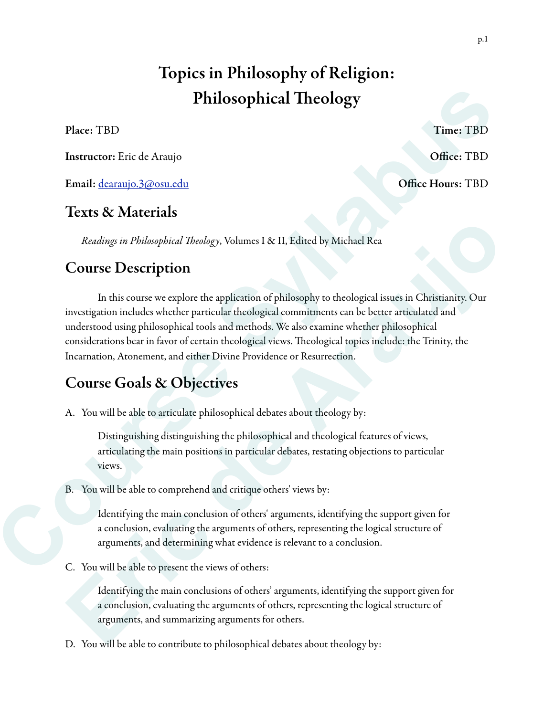# Topics in Philosophy of Religion: Philosophical Theology

Instructor: Eric de Araujo **Office: TBD** 

Email: dearaujo.3@osu.edu Office Hours: TBD

### Texts & Materials

*Readings in Philosophical* T*eology*, Volumes I & II, Edited by Michael Rea

## Course Description

 In this course we explore the application of philosophy to theological issues in Christianity. Our investigation includes whether particular theological commitments can be better articulated and understood using philosophical tools and methods. We also examine whether philosophical considerations bear in favor of certain theological views. Teological topics include: the Trinity, the Incarnation, Atonement, and either Divine Providence or Resurrection. **Philosophical Theology**<br> **Concert TBD**<br> **Concert Entropy Course Syllence Course Syllabus 2.420 concert Entropy Coffice: TBD**<br> **Concert Entropy Course Syllence Entropy**<br> **Concert Entropy Concert Entropy**<br> **Course Descripti** Readings in Philosophical Theology, Volumes I & II, Edited by Michael Rea<br> **Course Description**<br>
In this course we explore the application of philosophy to theological issues in Christianity. Our<br>
investigation includes wh

# Course Goals & Objectives

A. You will be able to articulate philosophical debates about theology by:

Distinguishing distinguishing the philosophical and theological features of views, articulating the main positions in particular debates, restating objections to particular views.

B. You will be able to comprehend and critique others' views by:

Identifying the main conclusion of others' arguments, identifying the support given for a conclusion, evaluating the arguments of others, representing the logical structure of arguments, and determining what evidence is relevant to a conclusion.

C. You will be able to present the views of others:

Identifying the main conclusions of others' arguments, identifying the support given for a conclusion, evaluating the arguments of others, representing the logical structure of arguments, and summarizing arguments for others.

D. You will be able to contribute to philosophical debates about theology by: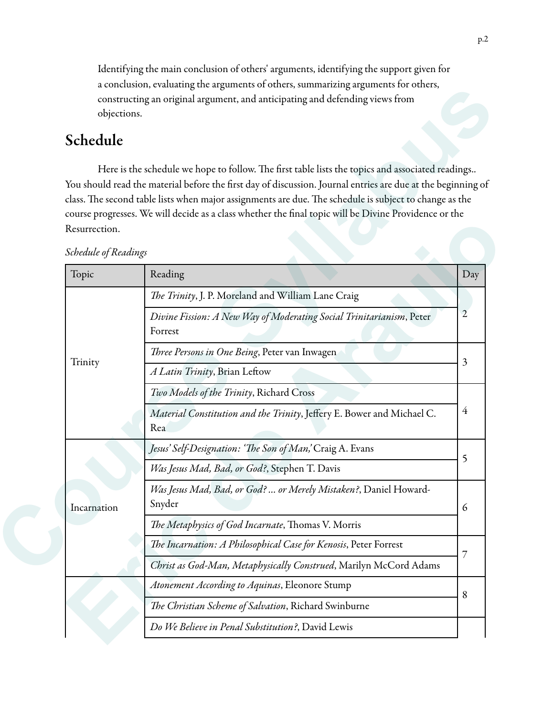Identifying the main conclusion of others' arguments, identifying the support given for a conclusion, evaluating the arguments of others, summarizing arguments for others, constructing an original argument, and anticipating and defending views from objections.

### Schedule

Here is the schedule we hope to follow. The first table lists the topics and associated readings.. You should read the material before the first day of discussion. Journal entries are due at the beginning of class. The second table lists when major assignments are due. The schedule is subject to change as the course progresses. We will decide as a class whether the final topic will be Divine Providence or the Resurrection.

Topic Reading Reading Reading Reading Research 1999 Reading Research 1999 Reading Research 1999 Reading Research 1999 Reading Research 1999 Reading Research 1999 Reading Research 1999 Reading Research 1999 Reading Research Trinity T*e Trinity*, J. P. Moreland and William Lane Craig *Divine Fission: A New Way of Moderating Social Trinitarianism*, Peter 2 Forrest T*ree Persons in One Being*, Peter van Inwagen *A Latin Trinity*, Brian Lefow *Two Models of the Trinity*, Richard Cross *Material Constitution and the Trinity*, Jeffery E. Bower and Michael C.  $\frac{4}{3}$ Rea Incarnation *Jesus' Self-Designation: '*T*e Son of Man,'* Craig A. Evans *Was Jesus Mad, Bad, or God?*, Stephen T. Davis *Was Jesus Mad, Bad, or God? … or Merely Mistaken?*, Daniel Howard-Snyder 6 The Metaphysics of God Incarnate, Thomas V. Morris T*e Incarnation: A Philosophical Case for Kenosis*, Peter Forrest *Christ as God-Man, Metaphysically Construed*, Marilyn McCord Adams constructing an original arguments of our distinguished defining sizes (Name also constructing an original arguments, and anticipating and defending seess from<br>
Schedule<br>
Here is the second color be formed to the state of Resurrection.<br>
Schedule of Reading<br>
The Trinity, J. P. Moreland and William Lane Craig<br>
The Trinity, J. P. Moreland and William Lane Craig<br>
Divine Fission: A New Way of Moderating Social Trinitarianism, Peter<br>
Trinity<br>
The

*Atonement According to Aquinas*, Eleonore Stump

*Do We Believe in Penal Substitution?*, David Lewis

T*e Christian Scheme of Salvation*, Richard Swinburne

*Schedule of Readings*

3

5

7

8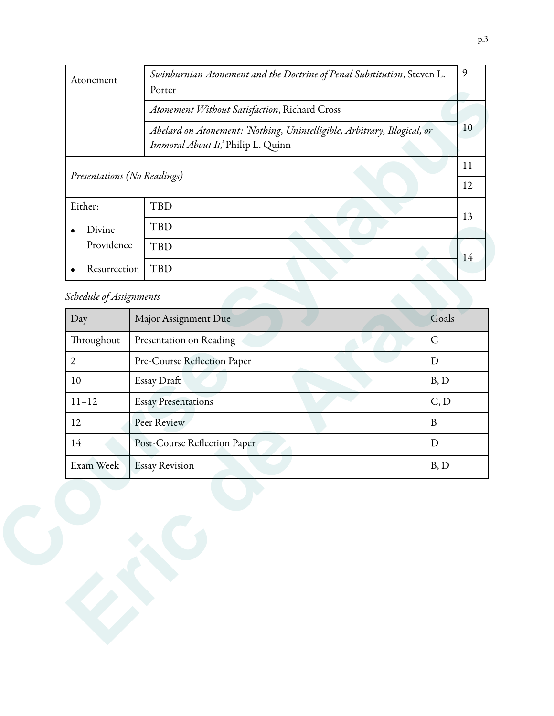|                     |                             | Porter                                                                                                         |    |  |
|---------------------|-----------------------------|----------------------------------------------------------------------------------------------------------------|----|--|
|                     |                             | Atonement Without Satisfaction, Richard Cross                                                                  |    |  |
|                     |                             | Abelard on Atonement: 'Nothing, Unintelligible, Arbitrary, Illogical, or<br>Immoral About It,' Philip L. Quinn | 10 |  |
|                     | Presentations (No Readings) |                                                                                                                |    |  |
|                     |                             |                                                                                                                |    |  |
| Either:             |                             | <b>TBD</b>                                                                                                     |    |  |
| Divine<br>$\bullet$ |                             | TBD                                                                                                            | 13 |  |
|                     | Providence                  | <b>TBD</b>                                                                                                     |    |  |
| $\bullet$           | Resurrection                | <b>TBD</b>                                                                                                     | 14 |  |
|                     | Schedule of Assignments     |                                                                                                                |    |  |
| Day                 |                             | Goals<br>Major Assignment Due                                                                                  |    |  |
| Throughout          |                             | $\mathsf{C}$<br>Presentation on Reading                                                                        |    |  |
| $\mathfrak{2}$      |                             | Pre-Course Reflection Paper<br>$\mathbf D$                                                                     |    |  |
| 10                  |                             | B, D<br>Essay Draft                                                                                            |    |  |
| $11 - 12$           |                             | C, D<br><b>Essay Presentations</b>                                                                             |    |  |
| 12                  |                             | Peer Review<br>$\, {\bf B}$                                                                                    |    |  |
| 14                  |                             | Post-Course Reflection Paper<br>D                                                                              |    |  |
| Exam Week           |                             | B, D<br><b>Essay Revision</b>                                                                                  |    |  |

### *Schedule of Assignments*

| Divine                  | TBD                          |              |  |
|-------------------------|------------------------------|--------------|--|
| Providence              | <b>TBD</b>                   |              |  |
| Resurrection            | <b>TBD</b>                   | 14           |  |
| Schedule of Assignments |                              |              |  |
| Day                     | Major Assignment Due         | Goals        |  |
| Throughout              | Presentation on Reading      | $\mathsf{C}$ |  |
| $\overline{2}$          | Pre-Course Reflection Paper  | $\mathbf D$  |  |
| $10\,$                  | Essay Draft                  | B, D         |  |
| $11 - 12$               | <b>Essay Presentations</b>   | C, D         |  |
| 12                      | Peer Review                  | $\, {\bf B}$ |  |
| $14\,$                  | Post-Course Reflection Paper | ${\rm D}$    |  |
| Exam Week               | <b>Essay Revision</b>        | B, D         |  |
|                         |                              |              |  |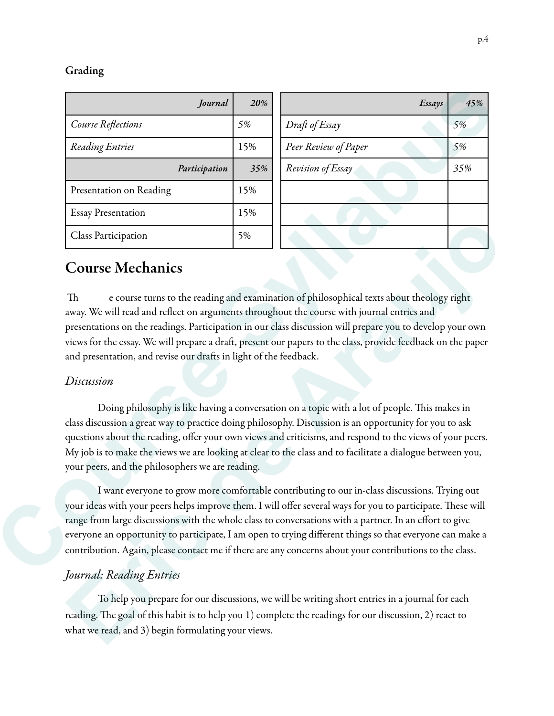#### Grading

|                                                                   | 20% | Essays                                                                                                                                                                                                                                                                                                                                                                                                                             | 45% |
|-------------------------------------------------------------------|-----|------------------------------------------------------------------------------------------------------------------------------------------------------------------------------------------------------------------------------------------------------------------------------------------------------------------------------------------------------------------------------------------------------------------------------------|-----|
| Course Reflections                                                | 5%  | Draft of Essay                                                                                                                                                                                                                                                                                                                                                                                                                     | 5%  |
| Reading Entries                                                   | 15% | Peer Review of Paper                                                                                                                                                                                                                                                                                                                                                                                                               | 5%  |
| Participation                                                     | 35% | Revision of Essay                                                                                                                                                                                                                                                                                                                                                                                                                  | 35% |
| Presentation on Reading                                           | 15% |                                                                                                                                                                                                                                                                                                                                                                                                                                    |     |
| <b>Essay Presentation</b>                                         | 15% |                                                                                                                                                                                                                                                                                                                                                                                                                                    |     |
| Class Participation                                               | 5%  |                                                                                                                                                                                                                                                                                                                                                                                                                                    |     |
| and presentation, and revise our drafts in light of the feedback. |     | presentations on the readings. Participation in our class discussion will prepare you to develop your own<br>views for the essay. We will prepare a draft, present our papers to the class, provide feedback on the paper                                                                                                                                                                                                          |     |
|                                                                   |     |                                                                                                                                                                                                                                                                                                                                                                                                                                    |     |
| Discussion                                                        |     |                                                                                                                                                                                                                                                                                                                                                                                                                                    |     |
|                                                                   |     |                                                                                                                                                                                                                                                                                                                                                                                                                                    |     |
| your peers, and the philosophers we are reading.                  |     | Doing philosophy is like having a conversation on a topic with a lot of people. This makes in<br>class discussion a great way to practice doing philosophy. Discussion is an opportunity for you to ask<br>questions about the reading, offer your own views and criticisms, and respond to the views of your peers.<br>My job is to make the views we are looking at clear to the class and to facilitate a dialogue between you, |     |

### Course Mechanics

#### *Discussion*

Doing philosophy is like having a conversation on a topic with a lot of people. This makes in class discussion a great way to practice doing philosophy. Discussion is an opportunity for you to ask questions about the reading, offer your own views and criticisms, and respond to the views of your peers. My job is to make the views we are looking at clear to the class and to facilitate a dialogue between you, your peers, and the philosophers we are reading. **Exiss Participation**<br> **Exist Participation**<br> **Exist Participation**<br> **Exist Solution Arange Solution** of philosophical texts about theology right<br>
away. We will perspare a direction arguments throughout the corresc with jo

#### *Journal: Reading Entries*

 To help you prepare for our discussions, we will be writing short entries in a journal for each reading. The goal of this habit is to help you 1) complete the readings for our discussion, 2) react to what we read, and 3) begin formulating your views.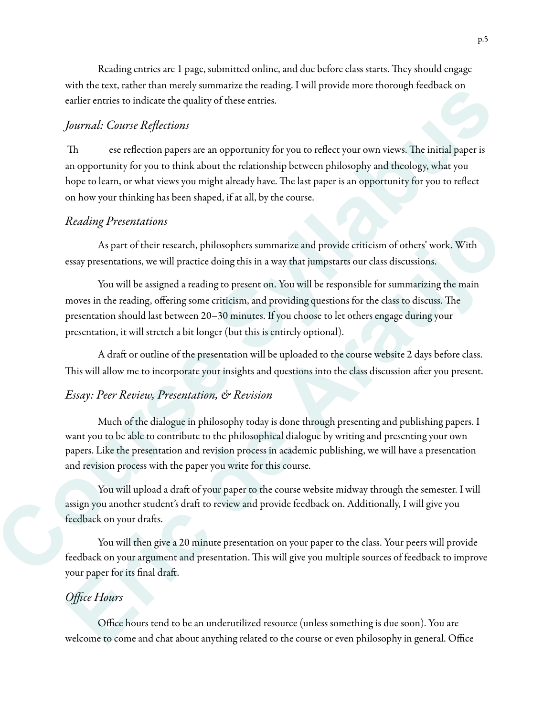Reading entries are 1 page, submitted online, and due before class starts. They should engage with the text, rather than merely summarize the reading. I will provide more thorough feedback on earlier entries to indicate the quality of these entries.

#### *Journal: Course Re*fl*ections*

Th ese reflection papers are an opportunity for you to reflect your own views. The initial paper is an opportunity for you to think about the relationship between philosophy and theology, what you hope to learn, or what views you might already have. The last paper is an opportunity for you to reflect on how your thinking has been shaped, if at all, by the course. ord in the real, nature ture that minimals in terming is way provide into the syllabus courts can be contributed to the courts of the courts of the terminosity of the section of the positive courts of the syllap specific a

#### *Reading Presentations*

 As part of their research, philosophers summarize and provide criticism of others' work. With essay presentations, we will practice doing this in a way that jumpstarts our class discussions.

 You will be assigned a reading to present on. You will be responsible for summarizing the main moves in the reading, offering some criticism, and providing questions for the class to discuss. The presentation should last between 20–30 minutes. If you choose to let others engage during your presentation, it will stretch a bit longer (but this is entirely optional). *Krading Presentations*<br>
As part of their research, philosophers summarize and provide criticism of others' work. With<br>
As part of their research, philosophers summarize and provide criticism of others' work. With<br>
You wil

A draft or outline of the presentation will be uploaded to the course website 2 days before class. This will allow me to incorporate your insights and questions into the class discussion after you present.

#### *Essay: Peer Review, Presentation, & Revision*

Much of the dialogue in philosophy today is done through presenting and publishing papers. I want you to be able to contribute to the philosophical dialogue by writing and presenting your own papers. Like the presentation and revision process in academic publishing, we will have a presentation and revision process with the paper you write for this course.

You will upload a draft of your paper to the course website midway through the semester. I will assign you another student's draft to review and provide feedback on. Additionally, I will give you feedback on your drafs.

 You will then give a 20 minute presentation on your paper to the class. Your peers will provide feedback on your argument and presentation. This will give you multiple sources of feedback to improve your paper for its final draf.

#### *O*ffi*ce Hours*

 Office hours tend to be an underutilized resource (unless something is due soon). You are welcome to come and chat about anything related to the course or even philosophy in general. Office